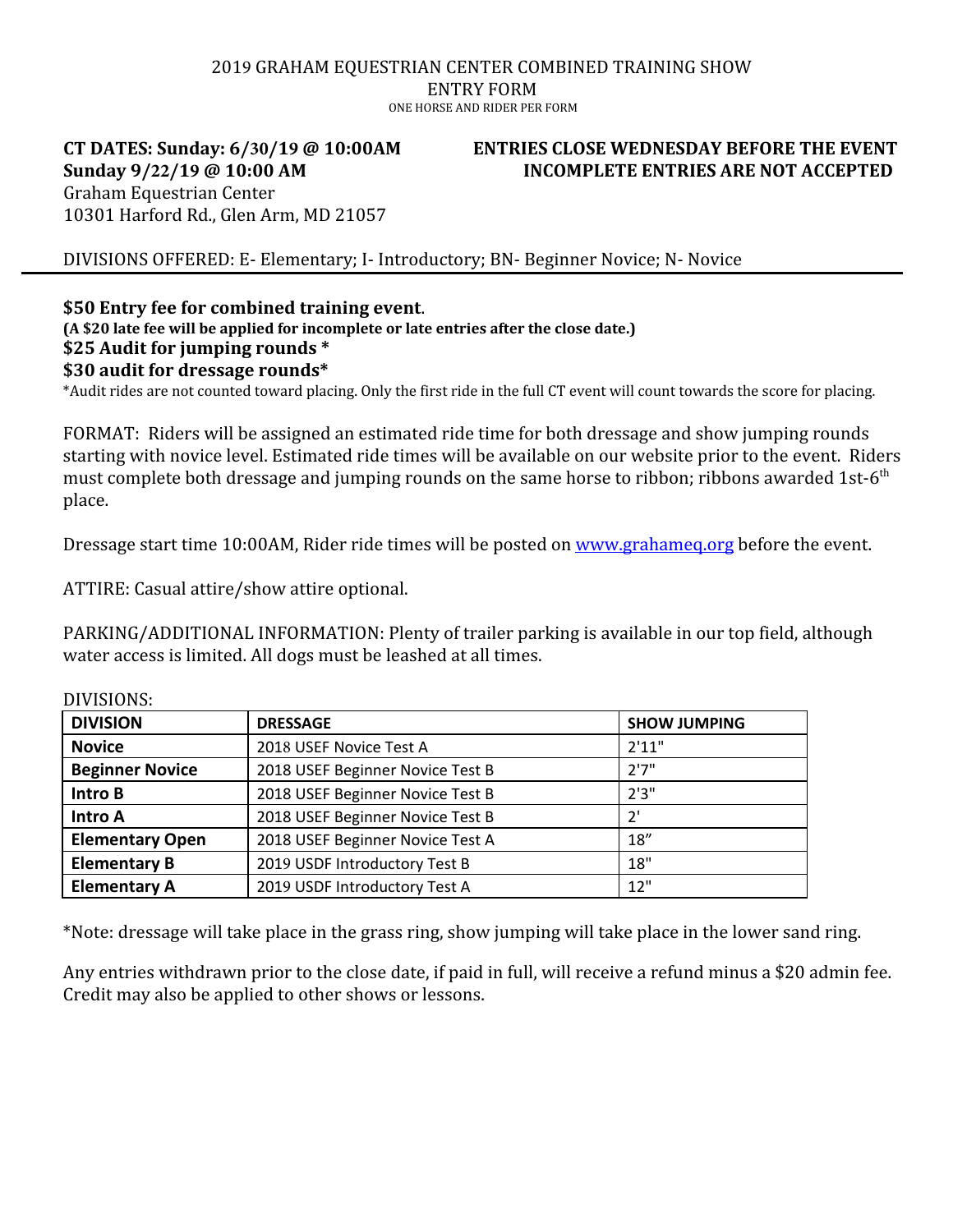### 2019 GRAHAM EQUESTRIAN CENTER COMBINED TRAINING SHOW ENTRY FORM ONE HORSE AND RIDER PER FORM

### **CT DATES: Sunday: 6/30/19 @ 10:00AM Sunday 9/22/19 @ 10:00 AM** Graham Equestrian Center 10301 Harford Rd., Glen Arm, MD 21057

# **ENTRIES CLOSE WEDNESDAY BEFORE THE EVENT INCOMPLETE ENTRIES ARE NOT ACCEPTED**

DIVISIONS OFFERED: E- Elementary; I- Introductory; BN- Beginner Novice; N- Novice

# **\$50 Entry fee for combined training event**.

**(A \$20 late fee will be applied for incomplete or late entries after the close date.) \$25 Audit for jumping rounds \* \$30 audit for dressage rounds\*** 

\*Audit rides are not counted toward placing. Only the first ride in the full CT event will count towards the score for placing.

FORMAT: Riders will be assigned an estimated ride time for both dressage and show jumping rounds starting with novice level. Estimated ride times will be available on our website prior to the event. Riders must complete both dressage and jumping rounds on the same horse to ribbon; ribbons awarded 1st-6<sup>th</sup> place.

Dressage start time 10:00AM, Rider ride times will be posted on [www.grahameq.org](http://www.grahameq.org/) before the event.

ATTIRE: Casual attire/show attire optional.

PARKING/ADDITIONAL INFORMATION: Plenty of trailer parking is available in our top field, although water access is limited. All dogs must be leashed at all times.

| 21                     |                                  |                     |  |  |
|------------------------|----------------------------------|---------------------|--|--|
| <b>DIVISION</b>        | <b>DRESSAGE</b>                  | <b>SHOW JUMPING</b> |  |  |
| <b>Novice</b>          | 2018 USEF Novice Test A          | 2'11"               |  |  |
| <b>Beginner Novice</b> | 2018 USEF Beginner Novice Test B | 2'7''               |  |  |
| <b>Intro B</b>         | 2018 USEF Beginner Novice Test B | 2'3''               |  |  |
| <b>Intro A</b>         | 2018 USEF Beginner Novice Test B | 2'                  |  |  |
| <b>Elementary Open</b> | 2018 USEF Beginner Novice Test A | 18''                |  |  |
| <b>Elementary B</b>    | 2019 USDF Introductory Test B    | 18"                 |  |  |
| <b>Elementary A</b>    | 2019 USDF Introductory Test A    | 12"                 |  |  |

DIVISIONS:

\*Note: dressage will take place in the grass ring, show jumping will take place in the lower sand ring.

Any entries withdrawn prior to the close date, if paid in full, will receive a refund minus a \$20 admin fee. Credit may also be applied to other shows or lessons.